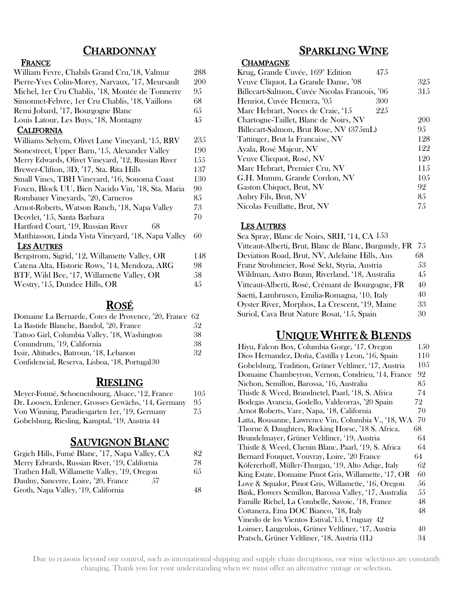# CHARDONNAY<br>FRANCE

| William Fevre, Chabils Grand Cru, 18, Valmur        | 288 |
|-----------------------------------------------------|-----|
| Pierre-Yves Colin-Morey, Narvaux, '17, Meursault    | 200 |
| Michel, 1er Cru Chablis, '18, Montée de Tonnerre    | 95  |
| Simonnet-Febvre, 1er Cru Chablis, '18, Vaillons     | 68  |
| Remi Jobard, '17, Bourgogne Blanc                   | 65  |
| Louis Latour, Les Buys, '18, Montagny               | 45  |
| <b>CALIFORNIA</b>                                   |     |
| Williams Selyem, Olivet Lane Vineyard, '15, RRV     | 235 |
| Stonestreet, Upper Barn, '15, Alexander Valley      | 190 |
| Merry Edwards, Olivet Vineyard, '12, Russian River  | 155 |
| Brewer-Clifton, 3D, '17, Sta. Rita Hills            | 137 |
| Small Vines, TBH Vineyard, '16, Sonoma Coast        | 130 |
| Foxen, Block UU, Bien Nacido Vin, '18, Sta. Maria   | 90  |
| Rombauer Vineyards, '20, Carneros                   | 85  |
| Arnot-Roberts, Watson Ranch, '18, Napa Valley       | 73  |
| Deovlet, '15, Santa Barbara                         | 70  |
| Hartford Court, '19, Russian River<br>68            |     |
| Matthiasson, Linda Vista Vineyard, '18, Napa Valley | 60  |
| <b>LES AUTRES</b>                                   |     |
| Bergstrom, Sigrid, '12, Willamette Valley, OR       | 148 |
| Catena Alta Historic Rows '14 Mendoza ARC           | 98  |

| Catena Alta, Historic Rows, '14, Mendoza, ARG | -98  |
|-----------------------------------------------|------|
| BTF, Wild Bee, '17, Willamette Valley, OR     | .58. |
| Westry, '15, Dundee Hills, OR                 | 45   |

| <b>ROSÉ</b>                                            |    |
|--------------------------------------------------------|----|
| Domaine La Bernarde, Cotes de Provence, '20, France 62 |    |
| La Bastide Blanche, Bandol, '20, France                | 52 |
| Tattoo Girl, Columbia Valley, '18, Washington          | 38 |
| Conundrum, '19, California                             | 38 |
| Ixsir, Altitudes, Batroun, '18, Lebanon                | 32 |
| Confidencial, Reserva, Lisboa, '18, Portugal 30        |    |

## RIESLING

| Meyer-Fonné, Schoenenbourg, Alsace, '12, France    | 10.5 |
|----------------------------------------------------|------|
| Dr. Loosen, Erdener, Grosses Gewächs, '14, Germany | - 95 |
| Von Winning, Paradiesgarten 1er, '19, Germany      | 7.5  |
| Gobelsburg, Riesling, Kamptal, '19, Austria 44     |      |

| <b>SAUVIGNON BLANC</b>                         |    |
|------------------------------------------------|----|
| Grgich Hills, Fumé Blanc, '17, Napa Valley, CA | 82 |
| Merry Edwards, Russian River, '19, California  | 78 |
| Trathen Hall, Willamette Valley, '19, Oregon   | 65 |
| Daulny, Sancerre, Loire, '20, France<br>.57    |    |
| Groth, Napa Valley, '19, California            | 48 |

# SPARKLING WINE CHAMPAGNE

| Krug, Grande Cuvée, 169 <sup>th</sup> Edition<br>47.5 |      |
|-------------------------------------------------------|------|
| Veuve Cliquot, La Grande Dame, '08                    | 325  |
| Billecart-Salmon, Cuvée Nicolas Francois, '06         | 31.5 |
| 300<br>Henriot, Cuvée Hemera, '05                     |      |
| 22.5<br>Marc Hebrart, Noces de Craie, 15              |      |
| Chartogne-Taillet, Blanc de Noirs, NV                 | 200  |
| Billecart-Salmon, Brut Rose, NV (375mL)               | 95   |
| Tattinger, Brut la Francaise, NV                      | 128  |
| Ayala, Rosé Majeur, NV                                | 122  |
| Veuve Clicquot, Rosé, NV                              | 120  |
| Marc Hebrart, Premier Cru, NV                         | 11.5 |
| G.H. Mumm, Grande Cordon, NV                          | 10.5 |
| Gaston Chiquet, Brut, NV                              | 92   |
| Aubry Fils, Brut, NV                                  | 85   |
| Nicolas Feuillatte, Brut, NV                          | 75   |

### LES AUTRES

| Sea Spray, Blanc de Noirs, SRH, '14, CA 153          |    |
|------------------------------------------------------|----|
| Vitteaut-Alberti, Brut, Blanc de Blanc, Burgundy, FR | 75 |
| Deviation Road, Brut, NV, Adelaine Hills, Aus        | 68 |
| Franz Strohmeier, Rosé Sekt, Styria, Austria         | 53 |
| Wildman, Astro Bunn, Riverland, '18, Australia       | 45 |
| Vitteaut-Alberti, Rosé, Crémant de Bourgogne, FR     | 40 |
| Saetti, Lambrusco, Emilia-Romagna, '10, Italy        | 40 |
| Oyster River, Morphos, La Crescent, '19, Maine       | 33 |
| Suriol, Cava Brut Nature Rosat, '15, Spain           | 30 |

## UNIQUE WHITE & BLENDS

| Hiyu, Falcon Box, Columbia Gorge, '17, Oregon          | 150 |
|--------------------------------------------------------|-----|
| Dios Hernandez, Doña, Castilla y Leon, '16, Spain      | 110 |
| Gobelsburg, Tradition, Grüner Veltliner, '17, Austria  | 105 |
| Domaine Chambeyron, Vernon, Condrieu, '14, France      | 92  |
| Nichon, Semillon, Barossa, '16, Australia              | 85  |
| Thistle & Weed, Brandnetel, Paarl, '18, S. Africa      | 74  |
| Bodegas Avancia, Godello, Valdeorras, '20 Spain        | 72  |
| Arnot Roberts, Vare, Napa, '18, California             | 70  |
| Latta, Rousanne, Lawrence Vin, Columbia V., '18, WA    | 70  |
| Thorne & Daughters, Rocking Horse, '18 S. Africa.      | 68  |
| Brundelmayer, Grüner Veltliner, '19, Austria           | 64  |
| Thistle & Weed, Chenin Blanc, Paarl, '19, S. Africa    | 64  |
| Bernard Fouquet, Vouvray, Loire, '20 France            | 64  |
| Köfererhoff, Müller-Thurgau, '19, Alto Adige, Italy    | 62  |
| King Estate, Domaine Pinot Gris, Willamette, '17, OR   | 60  |
| Love & Squalor, Pinot Gris, Willamette, '16, Oregon    | 56  |
| Bink, Flowers Semillon, Barossa Valley, '17, Australia | 55  |
| Famille Richel, La Combelle, Savoie, '18, France       | 48  |
| Cottanera, Etna DOC Bianco, '18, Italy                 | 48  |
| Vinedo de los Vientos Estival, 15, Uruguay 42          |     |
| Loimer, Langenlois, Grüner Veltliner, '17, Austria     | 40  |
| Pratsch, Grüner Veltliner, '18, Austria (1L)           | 34  |

Due to [reasons](https://www.macmillandictionary.com/us/dictionary/american/reason_1) beyond our [control,](https://www.macmillandictionary.com/us/dictionary/american/control_1) such as international shipping and supply chain disruptions, our wine selections are constantly changing. Thank you for your understanding when we must offer an alternative vintage or selection.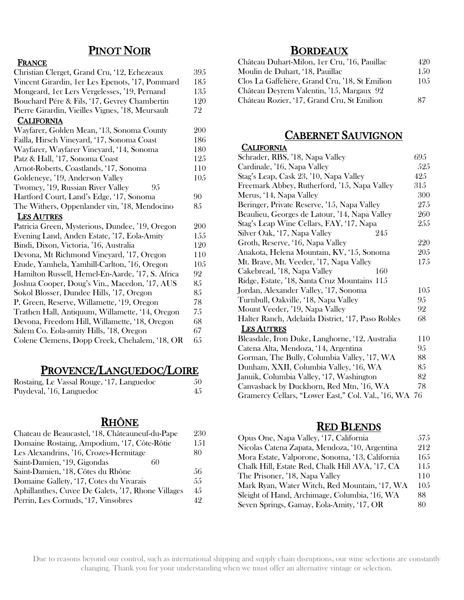# **PINOT NOIR**<br>FRANCE

| Christian Clerget, Grand Cru, '12, Echezeaux     | 395 |
|--------------------------------------------------|-----|
| Vincent Girardin, 1er Les Epenots, '17, Pommard  | 185 |
| Mongeard, 1er Lers Vergelesses, '19, Pernand     | 135 |
| Bouchard Pére & Fils, '17, Gevrey Chambertin     | 120 |
| Pierre Girardin, Vieilles Vignes, '18, Meursault | 72  |
| <b>CALIFORNIA</b>                                |     |
| Wayfarer, Golden Mean, '13, Sonoma County        | 200 |
| Failla, Hirsch Vineyard, '17, Sonoma Coast       | 186 |
| Wayfarer, Wayfarer Vineyard, '14, Sonoma         | 180 |
| Patz & Hall, '17, Sonoma Coast                   | 125 |
| Arnot-Roberts, Coastlands, '17, Sonoma           | 110 |
| Goldeneye, '19, Anderson Valley                  | 105 |
| Twomey, '19, Russian River Valley<br>95          |     |
| Hartford Court, Land's Edge, '17, Sonoma         | 90  |
| The Withers, Oppenlander vin, '18, Mendocino     | 85  |
| <b>LES AUTRES</b>                                |     |
| Patricia Green, Mysterious, Dundee, '19, Oregon  | 200 |
| Evening Land, Anden Estate, '17, Eola-Amity      | 155 |
| Bindi, Dixon, Victoria, '16, Australia           | 120 |
| Devona, Mt Richmond Vineyard, '17, Oregon        | 110 |
| Etude, Yamhela, Yamhill-Carlton, '16, Oregon     | 105 |
| Hamilton Russell, Hemel-En-Aarde, '17, S. Africa | 92  |
| Joshua Cooper, Doug's Vin., Macedon, '17, AUS    | 85  |
| Sokol Blosser, Dundee Hills, '17, Oregon         | 85  |
| P. Green, Reserve, Willamette, '19, Oregon       | 78  |
| Trathen Hall, Antiquum, Willamette, '14, Oregon  | 75  |
| Devona, Freedom Hill, Willamette, '18, Oregon    | 68  |
| Salem Co. Eola-amity Hills, '18, Oregon          | 67  |
| Colene Clemens, Dopp Creek, Chehalem, '18, OR    | 65  |

## PROVENCE/LANGUEDOC/LOIRE

| Rostaing, Le Vassal Rouge, '17, Languedoc | 50  |
|-------------------------------------------|-----|
| Puydeval, '16, Languedoc                  | 4.5 |

| <b>RHÔNE</b>                                       |     |
|----------------------------------------------------|-----|
| Chateau de Beaucastel, '18, Châteauneuf-du-Pape    | 230 |
| Domaine Rostaing, Ampodium, '17, Côte-Rôtie        | 151 |
| Les Alexandrins, '16, Crozes-Hermitage             | 80  |
| Saint-Damien, '19, Gigondas<br>60                  |     |
| Saint-Damien, '18, Côtes du Rhône                  | .56 |
| Domaine Gallety, '17, Cotes du Vivarais            | 55  |
| Aphillanthes, Cuvee De Galets, '17, Rhone Villages | 45  |
| Perrin, Les Cornuds, '17, Vinsobres                | 49  |

## BORDEAUX

| Château Duhart-Milon, 1er Cru, '16, Pauillac   | 420  |
|------------------------------------------------|------|
| Moulin de Duhart, '18, Pauillac                | 1.50 |
| Clos La Gaffelière, Grand Cru, '18, St Emilion | 10.5 |
| Château Deyrem Valentin, '15, Margaux 92       |      |
| Château Rozier, 17, Grand Cru, St Emilion      | 87   |

# **CABERNET SAUVIGNON**<br>CALIFORNIA

| Schrader, RBS, '18, Napa Valley                    | 695  |
|----------------------------------------------------|------|
| Cardinale, '16, Napa Valley                        | 525  |
| Stag's Leap, Cask 23, '10, Napa Valley             | 425  |
| Freemark Abbey, Rutherford, '15, Napa Valley       | 315  |
| Merus, '14, Napa Valley                            | 300  |
| Beringer, Private Reserve, '15, Napa Valley        | 27.5 |
| Beaulieu, Georges de Latour, '14, Napa Valley      | 260  |
| Stag's Leap Wine Cellars, FAY, '17, Napa           | 255  |
| Silver Oak, '17, Napa Valley<br>245                |      |
| Groth, Reserve, '16, Napa Valley                   | 220  |
| Anakota, Helena Mountain, KV, '15, Sonoma          | 205  |
| Mt. Brave, Mt. Veeder, '17, Napa Valley            | 175  |
| Cakebread, '18, Napa Valley<br>160                 |      |
| Ridge, Estate, '18, Santa Cruz Mountains 115       |      |
| Jordan, Alexander Valley, '17, Sonoma              | 105  |
| Turnbull, Oakville, '18, Napa Valley               | 95   |
| Mount Veeder, '19, Napa Valley                     | 92   |
| Halter Ranch, Adelaida District, '17, Paso Robles  | 68   |
| <b>LES AUTRES</b>                                  |      |
| Bleasdale, Iron Duke, Langhorne, '12, Australia    | 110  |
| Catena Alta, Mendoza, '14, Argentina               | 95   |
| Gorman, The Bully, Columbia Valley, '17, WA        | 88   |
| Dunham, XXII, Columbia Valley, '16, WA             | 85   |
| Januik, Columbia Valley, '17, Washington           | 82   |
| Canvasback by Duckhorn, Red Mtn, '16, WA           | 78   |
| Gramercy Cellars, "Lower East," Col. Val., '16, WA | 76   |

## RED BLENDS

| Opus One, Napa Valley, '17, California          | 575 |
|-------------------------------------------------|-----|
| Nicolas Catena Zapata, Mendoza, '10, Argentina  | 212 |
| Mora Estate, Valporone, Sonoma, '13, California | 165 |
| Chalk Hill, Estate Red, Chalk Hill AVA, '17, CA | 115 |
| The Prisoner, '18, Napa Valley                  | 110 |
| Mark Ryan, Water Witch, Red Mountain, '17, WA   | 105 |
| Sleight of Hand, Archimage, Columbia, 16, WA    | 88. |
| Seven Springs, Gamay, Eola-Amity, '17, OR       | 80  |

Due to [reasons](https://www.macmillandictionary.com/us/dictionary/american/reason_1) beyond our [control,](https://www.macmillandictionary.com/us/dictionary/american/control_1) such as international shipping and supply chain disruptions, our wine selections are constantly changing. Thank you for your understanding when we must offer an alternative vintage or selection.